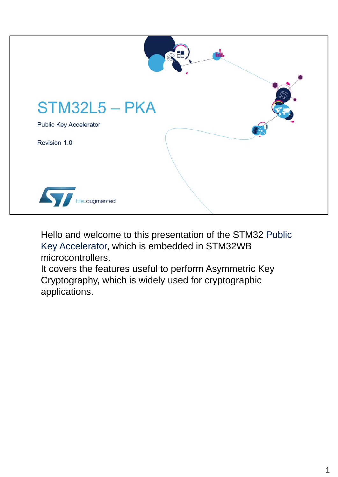

Hello and welcome to this presentation of the STM32 Public Key Accelerator, which is embedded in STM32WB microcontrollers.

It covers the features useful to perform Asymmetric Key Cryptography, which is widely used for cryptographic applications.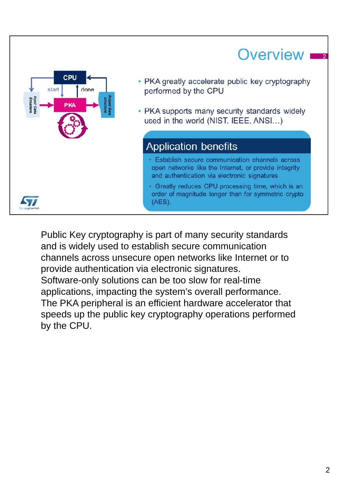#### Overview **I** CPU • PKA greatly accelerate public key cryptography start done performed by the CPU Input Data<br>Structure • PKA supports many security standards widely used in the world (NIST, IEEE, ANSI...) **Application benefits** • Establish secure communication channels across open networks like the Internet, or provide integrity and authentication via electronic signatures • Greatly reduces CPU processing time, which is an order of magnitude longer than for symmetric crypto S7  $(AES)$ .

Public Key cryptography is part of many security standards and is widely used to establish secure communication channels across unsecure open networks like Internet or to provide authentication via electronic signatures. Software-only solutions can be too slow for real-time applications, impacting the system's overall performance. The PKA peripheral is an efficient hardware accelerator that speeds up the public key cryptography operations performed by the CPU.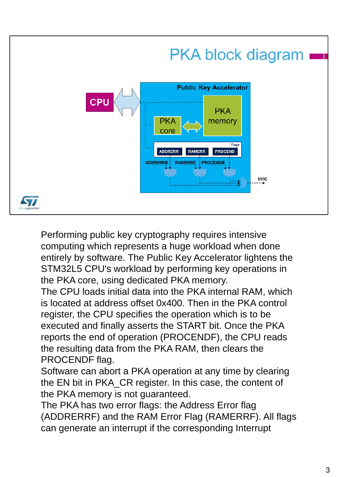

Performing public key cryptography requires intensive computing which represents a huge workload when done entirely by software. The Public Key Accelerator lightens the STM32L5 CPU's workload by performing key operations in the PKA core, using dedicated PKA memory.

The CPU loads initial data into the PKA internal RAM, which is located at address offset 0x400. Then in the PKA control register, the CPU specifies the operation which is to be executed and finally asserts the START bit. Once the PKA reports the end of operation (PROCENDF), the CPU reads the resulting data from the PKA RAM, then clears the PROCENDF flag.

Software can abort a PKA operation at any time by clearing the EN bit in PKA\_CR register. In this case, the content of the PKA memory is not guaranteed.

The PKA has two error flags: the Address Error flag (ADDRERRF) and the RAM Error Flag (RAMERRF). All flags can generate an interrupt if the corresponding Interrupt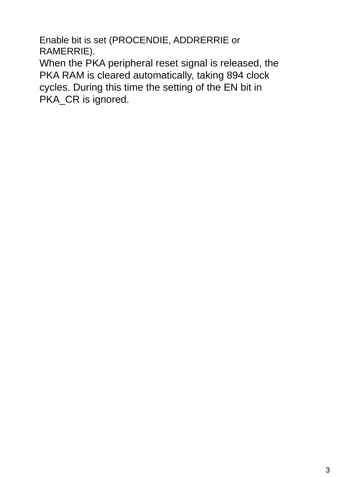Enable bit is set (PROCENDIE, ADDRERRIE or RAMERRIE).

When the PKA peripheral reset signal is released, the PKA RAM is cleared automatically, taking 894 clock cycles. During this time the setting of the EN bit in PKA\_CR is ignored.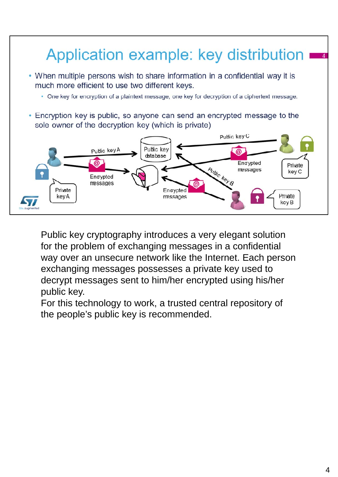

Public key cryptography introduces a very elegant solution for the problem of exchanging messages in a confidential way over an unsecure network like the Internet. Each person exchanging messages possesses a private key used to decrypt messages sent to him/her encrypted using his/her public key.

For this technology to work, a trusted central repository of the people's public key is recommended.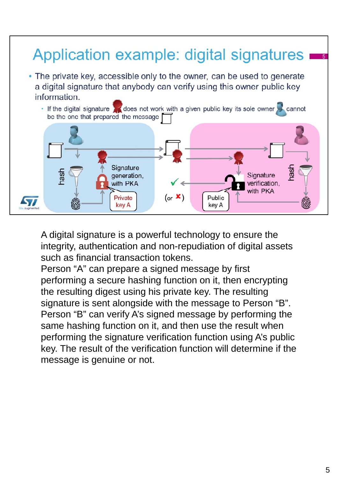

A digital signature is a powerful technology to ensure the integrity, authentication and non-repudiation of digital assets such as financial transaction tokens.

Person "A" can prepare a signed message by first performing a secure hashing function on it, then encrypting the resulting digest using his private key. The resulting signature is sent alongside with the message to Person "B". Person "B" can verify A's signed message by performing the same hashing function on it, and then use the result when performing the signature verification function using A's public key. The result of the verification function will determine if the message is genuine or not.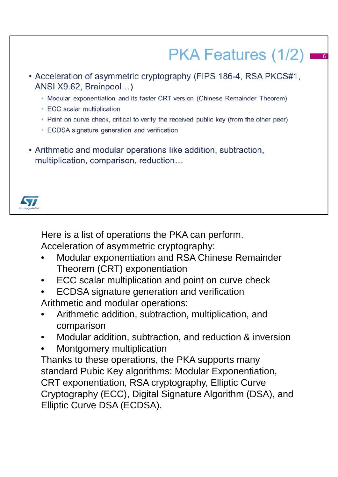# PKA Features (1/2)

- Acceleration of asymmetric cryptography (FIPS 186-4, RSA PKCS#1, ANSI X9.62, Brainpool...)
	- Modular exponentiation and its faster CRT version (Chinese Remainder Theorem)
	- ECC scalar multiplication
	- . Point on curve check, critical to verify the received public key (from the other peer)
	- · ECDSA signature generation and verification
- Arithmetic and modular operations like addition, subtraction, multiplication, comparison, reduction...



Here is a list of operations the PKA can perform.

Acceleration of asymmetric cryptography:

- Modular exponentiation and RSA Chinese Remainder Theorem (CRT) exponentiation
- ECC scalar multiplication and point on curve check
- ECDSA signature generation and verification Arithmetic and modular operations:
- Arithmetic addition, subtraction, multiplication, and comparison
- Modular addition, subtraction, and reduction & inversion
- Montgomery multiplication

Thanks to these operations, the PKA supports many standard Pubic Key algorithms: Modular Exponentiation, CRT exponentiation, RSA cryptography, Elliptic Curve Cryptography (ECC), Digital Signature Algorithm (DSA), and Elliptic Curve DSA (ECDSA).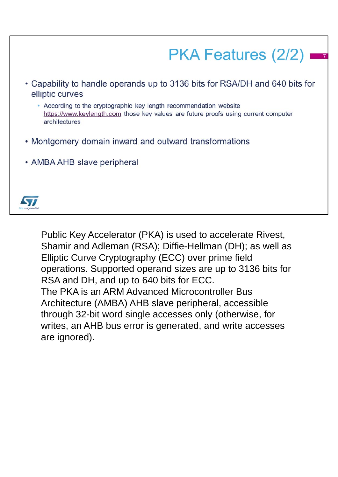

Public Key Accelerator (PKA) is used to accelerate Rivest, Shamir and Adleman (RSA); Diffie-Hellman (DH); as well as Elliptic Curve Cryptography (ECC) over prime field operations. Supported operand sizes are up to 3136 bits for RSA and DH, and up to 640 bits for ECC. The PKA is an ARM Advanced Microcontroller Bus Architecture (AMBA) AHB slave peripheral, accessible through 32-bit word single accesses only (otherwise, for writes, an AHB bus error is generated, and write accesses are ignored).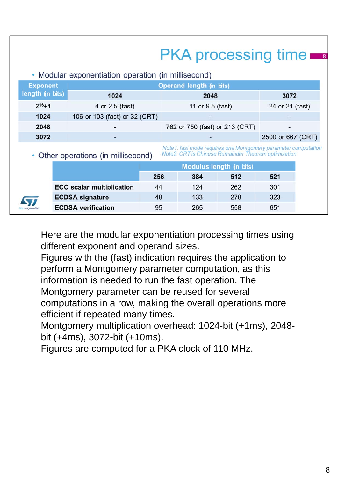## **PKA processing time**

• Modular exponentiation operation (in millisecond)

| <b>Exponent</b>  | Operand length (in bits)      |                                |                   |  |  |
|------------------|-------------------------------|--------------------------------|-------------------|--|--|
| length (in bits) | 1024                          | 2048                           | 3072              |  |  |
| $2^{16}+1$       | 4 or 2.5 (fast)               | 11 or 9.5 (fast)               | 24 or 21 (fast)   |  |  |
| 1024             | 106 or 103 (fast) or 32 (CRT) | $-$                            | -                 |  |  |
| 2048             |                               | 762 or 750 (fast) or 213 (CRT) | -                 |  |  |
| 3072             |                               | -                              | 2500 or 667 (CRT) |  |  |

#### • Other operations (in millisecond)

Note1: fast mode requires one Montgomery parameter computation<br>Note2: CRT is Chinese Remainder Theorem optimization

|                         |                                  | Modulus length (in bits) |     |     |     |
|-------------------------|----------------------------------|--------------------------|-----|-----|-----|
|                         |                                  | 256                      | 384 | 512 | 521 |
|                         | <b>ECC scalar multiplication</b> | 44                       | 124 | 262 | 301 |
| $\overline{\textbf{y}}$ | <b>ECDSA signature</b>           | 48                       | 133 | 278 | 323 |
| augmented               | <b>ECDSA</b> verification        | 95                       | 265 | 558 | 651 |

Here are the modular exponentiation processing times using different exponent and operand sizes.

Figures with the (fast) indication requires the application to perform a Montgomery parameter computation, as this information is needed to run the fast operation. The Montgomery parameter can be reused for several computations in a row, making the overall operations more efficient if repeated many times.

Montgomery multiplication overhead: 1024-bit (+1ms), 2048 bit (+4ms), 3072-bit (+10ms).

Figures are computed for a PKA clock of 110 MHz.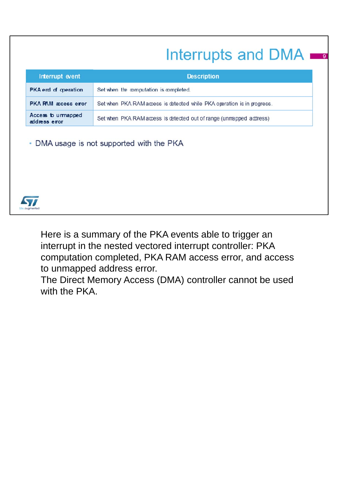### Interrupts and DMA

| Interrupt event                     | <b>Description</b>                                                      |
|-------------------------------------|-------------------------------------------------------------------------|
| PKA end of operation                | Set when the computation is completed.                                  |
| <b>PKA RAM</b> access error         | Set when PKA RAM access is detected while PKA operation is in progress. |
| Access to urmapped<br>address error | Set when PKA RAM access is detected out of range (unmapped address)     |

• DMA usage is not supported with the PKA



Here is a summary of the PKA events able to trigger an interrupt in the nested vectored interrupt controller: PKA computation completed, PKA RAM access error, and access to unmapped address error.

The Direct Memory Access (DMA) controller cannot be used with the PKA.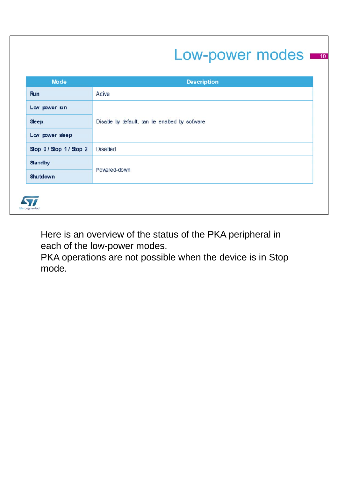### Low-power modes

| <b>Mode</b>          | <b>Description</b>                            |  |
|----------------------|-----------------------------------------------|--|
| Run                  | Adive                                         |  |
| Lav power run        |                                               |  |
| <b>Sleep</b>         | Disable by default, can be enabled by sofware |  |
| Low power sleep      |                                               |  |
| Stop 0/Stop 1/Stop 2 | <b>Disabed</b>                                |  |
| <b>Standby</b>       | Powered-down                                  |  |
| Shutdown             |                                               |  |

Here is an overview of the status of the PKA peripheral in each of the low-power modes.

PKA operations are not possible when the device is in Stop mode.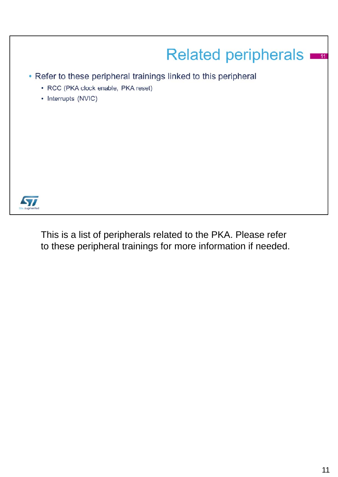

This is a list of peripherals related to the PKA. Please refer to these peripheral trainings for more information if needed.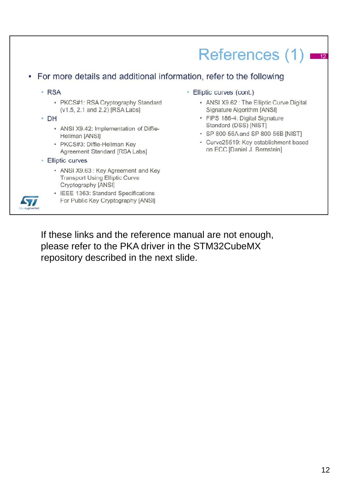### References  $(1)$   $\equiv$

#### For more details and additional information, refer to the following

- · RSA
	- PKCS#1: RSA Cryptography Standard (v1.5, 2.1 and 2.2) [RSA Labs]
- DH
	- ANSI X9.42: Implementation of Diffie-Hellman [ANSI]
	- PKCS#3: Diffie-Hellman Key Agreement Standard [RSA Labs]
- Elliptic curves
	- ANSI X9.63: Key Agreement and Key **Transport Using Elliptic Curve** Cryptography [ANSI]
- 57
- IEEE 1363: Standard Specifications For Public Key Cryptography [ANSI]
- Elliptic curves (cont.)
	- ANSI X9.62 : The Elliptic Curve Digital Signature Algorithm [ANSI]
	- FIPS 186-4: Digital Signature Standard (DSS) [NIST]
	- SP 800-56A and SP 800-56B [NIST]
	- Curve25519: Key establishment based on ECC [Daniel J. Bernstein]

If these links and the reference manual are not enough, please refer to the PKA driver in the STM32CubeMX repository described in the next slide.